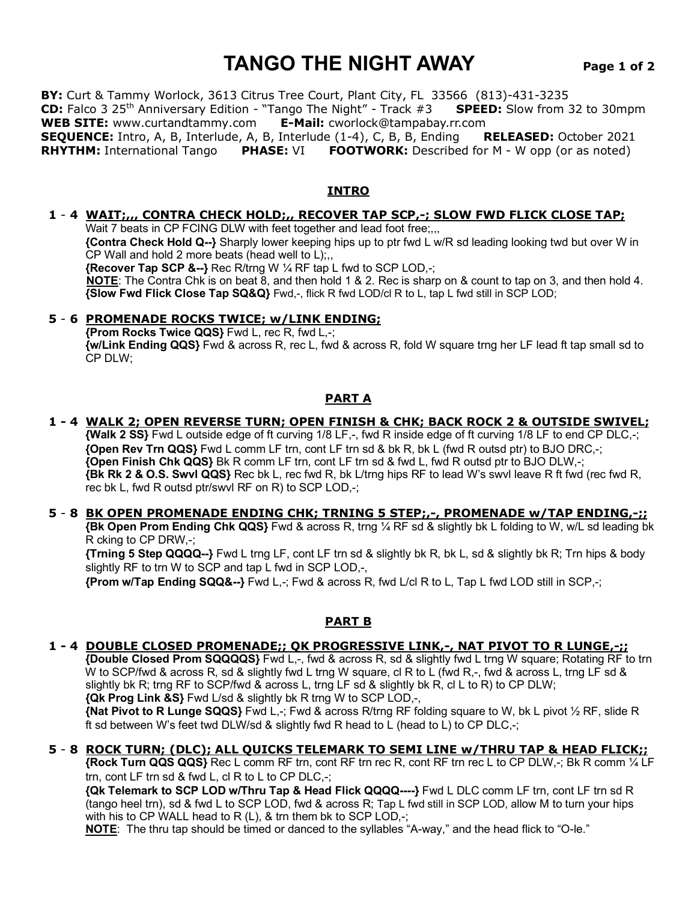# **TANGO THE NIGHT AWAY Page 1 of 2**

**BY:** Curt & Tammy Worlock, 3613 Citrus Tree Court, Plant City, FL 33566 (813)-431-3235 **CD:** Falco 3 25th Anniversary Edition - "Tango The Night" - Track #3 **SPEED:** Slow from 32 to 30mpm **WEB SITE:** www.curtandtammy.com **E-Mail:** cworlock@tampabay.rr.com **SEQUENCE:** Intro, A, B, Interlude, A, B, Interlude (1-4), C, B, B, Ending **RELEASED:** October 2021 **RHYTHM:** International Tango **PHASE:** VI **FOOTWORK:** Described for M - W opp (or as noted)

## **INTRO**

#### **1** - **4 WAIT;,,, CONTRA CHECK HOLD;,, RECOVER TAP SCP,-; SLOW FWD FLICK CLOSE TAP;**

Wait 7 beats in CP FCING DLW with feet together and lead foot free;... **{Contra Check Hold Q--}** Sharply lower keeping hips up to ptr fwd L w/R sd leading looking twd but over W in

CP Wall and hold 2 more beats (head well to L);

**{Recover Tap SCP &--}** Rec R/trng W ¼ RF tap L fwd to SCP LOD,-;

 **NOTE**: The Contra Chk is on beat 8, and then hold 1 & 2. Rec is sharp on & count to tap on 3, and then hold 4. **{Slow Fwd Flick Close Tap SQ&Q}** Fwd,-, flick R fwd LOD/cl R to L, tap L fwd still in SCP LOD;

## **5** - **6 PROMENADE ROCKS TWICE; w/LINK ENDING;**

 **{Prom Rocks Twice QQS}** Fwd L, rec R, fwd L,-; **{w/Link Ending QQS}** Fwd & across R, rec L, fwd & across R, fold W square trng her LF lead ft tap small sd to CP DLW;

## **PART A**

## **1 - 4 WALK 2; OPEN REVERSE TURN; OPEN FINISH & CHK; BACK ROCK 2 & OUTSIDE SWIVEL;**

 **{Walk 2 SS}** Fwd L outside edge of ft curving 1/8 LF,-, fwd R inside edge of ft curving 1/8 LF to end CP DLC,-; **{Open Rev Trn QQS}** Fwd L comm LF trn, cont LF trn sd & bk R, bk L (fwd R outsd ptr) to BJO DRC,-; **{Open Finish Chk QQS}** Bk R comm LF trn, cont LF trn sd & fwd L, fwd R outsd ptr to BJO DLW,-; **{Bk Rk 2 & O.S. Swvl QQS}** Rec bk L, rec fwd R, bk L/trng hips RF to lead W's swvl leave R ft fwd (rec fwd R, rec bk L, fwd R outsd ptr/swvl RF on R) to SCP LOD,-;

## **5** - **8 BK OPEN PROMENADE ENDING CHK; TRNING 5 STEP;,-, PROMENADE w/TAP ENDING,-;;**

 **{Bk Open Prom Ending Chk QQS}** Fwd & across R, trng ¼ RF sd & slightly bk L folding to W, w/L sd leading bk R cking to CP DRW,-;

 **{Trning 5 Step QQQQ--}** Fwd L trng LF, cont LF trn sd & slightly bk R, bk L, sd & slightly bk R; Trn hips & body slightly RF to trn W to SCP and tap L fwd in SCP LOD,-,

**{Prom w/Tap Ending SQQ&--}** Fwd L,-; Fwd & across R, fwd L/cl R to L, Tap L fwd LOD still in SCP,-;

## **PART B**

## **1 - 4 DOUBLE CLOSED PROMENADE;; QK PROGRESSIVE LINK,-, NAT PIVOT TO R LUNGE,-;;**

 **{Double Closed Prom SQQQQS}** Fwd L,-, fwd & across R, sd & slightly fwd L trng W square; Rotating RF to trn W to SCP/fwd & across R, sd & slightly fwd L trng W square, cl R to L (fwd R,-, fwd & across L, trng LF sd & slightly bk R; trng RF to SCP/fwd & across L, trng LF sd & slightly bk R, cl L to R) to CP DLW; **{Qk Prog Link &S}** Fwd L/sd & slightly bk R trng W to SCP LOD,-,

 **{Nat Pivot to R Lunge SQQS}** Fwd L,-; Fwd & across R/trng RF folding square to W, bk L pivot ½ RF, slide R ft sd between W's feet twd DLW/sd & slightly fwd R head to L (head to L) to CP DLC,-;

## **5** - **8 ROCK TURN; (DLC); ALL QUICKS TELEMARK TO SEMI LINE w/THRU TAP & HEAD FLICK;;**

 **{Rock Turn QQS QQS}** Rec L comm RF trn, cont RF trn rec R, cont RF trn rec L to CP DLW,-; Bk R comm ¼ LF trn, cont LF trn sd & fwd L, cl R to L to CP DLC,-;

 **{Qk Telemark to SCP LOD w/Thru Tap & Head Flick QQQQ----}** Fwd L DLC comm LF trn, cont LF trn sd R (tango heel trn), sd & fwd L to SCP LOD, fwd & across R; Tap L fwd still in SCP LOD, allow M to turn your hips with his to CP WALL head to R (L), & trn them bk to SCP LOD,-;

**NOTE**: The thru tap should be timed or danced to the syllables "A-way," and the head flick to "O-le."